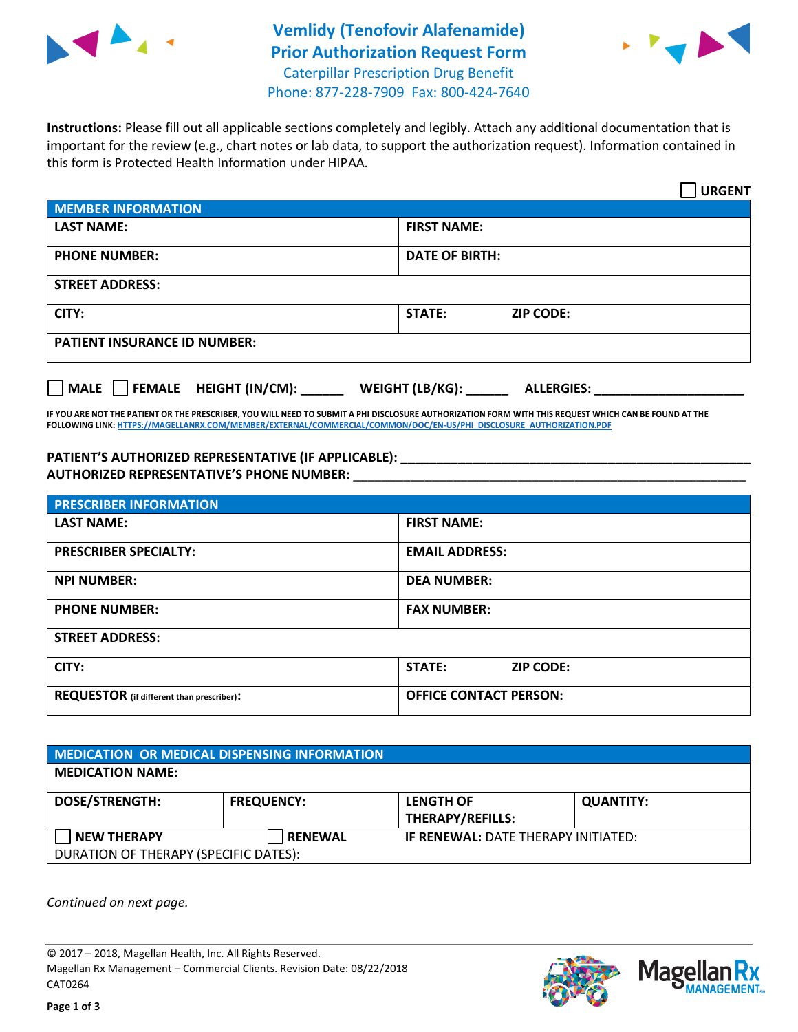



Phone: 877-228-7909 Fax: 800-424-7640

**Instructions:** Please fill out all applicable sections completely and legibly. Attach any additional documentation that is important for the review (e.g., chart notes or lab data, to support the authorization request). Information contained in this form is Protected Health Information under HIPAA.

|                                            | <b>URGENT</b>                        |  |  |  |
|--------------------------------------------|--------------------------------------|--|--|--|
| <b>MEMBER INFORMATION</b>                  |                                      |  |  |  |
| <b>LAST NAME:</b>                          | <b>FIRST NAME:</b>                   |  |  |  |
| <b>PHONE NUMBER:</b>                       | <b>DATE OF BIRTH:</b>                |  |  |  |
| <b>STREET ADDRESS:</b>                     |                                      |  |  |  |
| CITY:                                      | STATE:<br><b>ZIP CODE:</b>           |  |  |  |
| <b>PATIENT INSURANCE ID NUMBER:</b>        |                                      |  |  |  |
| FEMALE HEIGHT (IN/CM):<br>$ $ MALE $ $ $ $ | WEIGHT (LB/KG):<br><b>ALLERGIES:</b> |  |  |  |

**IF YOU ARE NOT THE PATIENT OR THE PRESCRIBER, YOU WILL NEED TO SUBMIT A PHI DISCLOSURE AUTHORIZATION FORM WITH THIS REQUEST WHICH CAN BE FOUND AT THE FOLLOWING LINK[: HTTPS://MAGELLANRX.COM/MEMBER/EXTERNAL/COMMERCIAL/COMMON/DOC/EN-US/PHI\\_DISCLOSURE\\_AUTHORIZATION.PDF](https://magellanrx.com/member/external/commercial/common/doc/en-us/PHI_Disclosure_Authorization.pdf)**

**PATIENT'S AUTHORIZED REPRESENTATIVE (IF APPLICABLE): \_\_\_\_\_\_\_\_\_\_\_\_\_\_\_\_\_\_\_\_\_\_\_\_\_\_\_\_\_\_\_\_\_\_\_\_\_\_\_\_\_\_\_\_\_\_\_\_\_ AUTHORIZED REPRESENTATIVE'S PHONE NUMBER:** \_\_\_\_\_\_\_\_\_\_\_\_\_\_\_\_\_\_\_\_\_\_\_\_\_\_\_\_\_\_\_\_\_\_\_\_\_\_\_\_\_\_\_\_\_\_\_\_\_\_\_\_\_\_\_

| <b>PRESCRIBER INFORMATION</b>             |                               |  |  |  |
|-------------------------------------------|-------------------------------|--|--|--|
| <b>LAST NAME:</b>                         | <b>FIRST NAME:</b>            |  |  |  |
| <b>PRESCRIBER SPECIALTY:</b>              | <b>EMAIL ADDRESS:</b>         |  |  |  |
| <b>NPI NUMBER:</b>                        | <b>DEA NUMBER:</b>            |  |  |  |
| <b>PHONE NUMBER:</b>                      | <b>FAX NUMBER:</b>            |  |  |  |
| <b>STREET ADDRESS:</b>                    |                               |  |  |  |
| CITY:                                     | STATE:<br><b>ZIP CODE:</b>    |  |  |  |
| REQUESTOR (if different than prescriber): | <b>OFFICE CONTACT PERSON:</b> |  |  |  |

| <b>MEDICATION OR MEDICAL DISPENSING INFORMATION</b> |                   |                                            |                  |  |  |
|-----------------------------------------------------|-------------------|--------------------------------------------|------------------|--|--|
| <b>MEDICATION NAME:</b>                             |                   |                                            |                  |  |  |
| <b>DOSE/STRENGTH:</b>                               | <b>FREQUENCY:</b> | <b>LENGTH OF</b>                           | <b>QUANTITY:</b> |  |  |
|                                                     |                   | <b>THERAPY/REFILLS:</b>                    |                  |  |  |
| <b>NEW THERAPY</b>                                  | <b>RENEWAL</b>    | <b>IF RENEWAL: DATE THERAPY INITIATED:</b> |                  |  |  |
| DURATION OF THERAPY (SPECIFIC DATES):               |                   |                                            |                  |  |  |

*Continued on next page.*

© 2017 – 2018, Magellan Health, Inc. All Rights Reserved. Magellan Rx Management – Commercial Clients. Revision Date: 08/22/2018 CAT0264



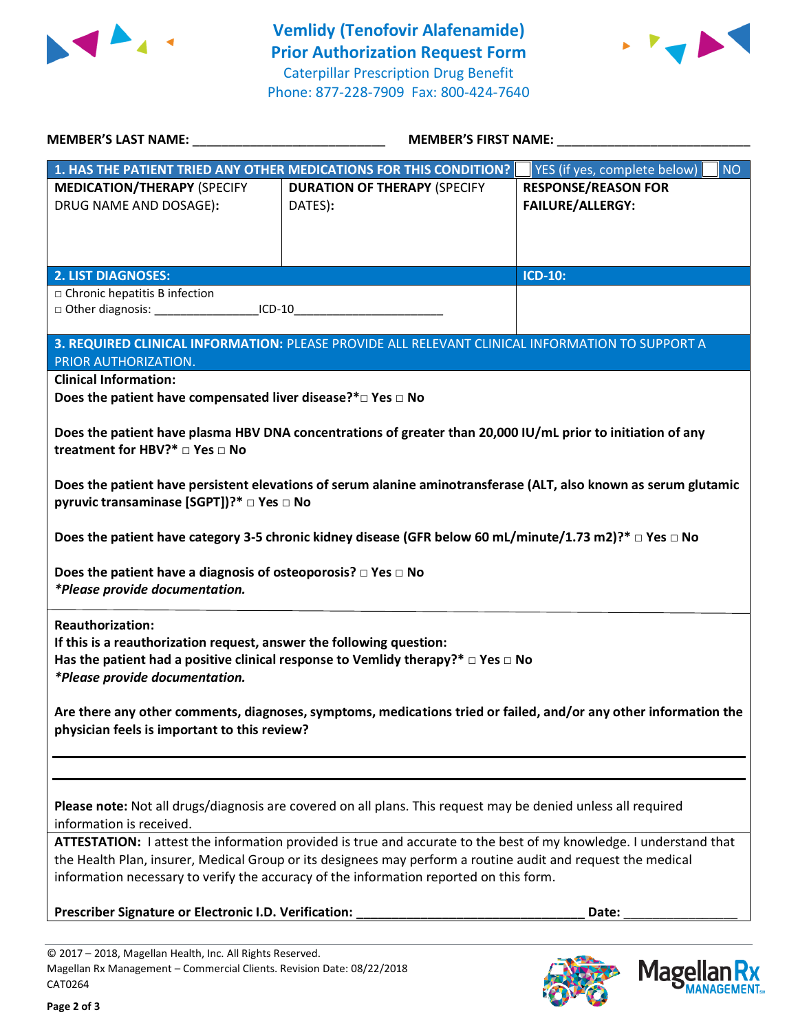



| <b>MEMBER'S LAST NAME:</b>                                                                                                                                                                                                                                                                                                   | <b>MEMBER'S FIRST NAME:</b>                                                                                       |                                                       |  |  |
|------------------------------------------------------------------------------------------------------------------------------------------------------------------------------------------------------------------------------------------------------------------------------------------------------------------------------|-------------------------------------------------------------------------------------------------------------------|-------------------------------------------------------|--|--|
|                                                                                                                                                                                                                                                                                                                              | 1. HAS THE PATIENT TRIED ANY OTHER MEDICATIONS FOR THIS CONDITION?                                                | YES (if yes, complete below)<br><b>NO</b>             |  |  |
| <b>MEDICATION/THERAPY (SPECIFY</b><br>DRUG NAME AND DOSAGE):                                                                                                                                                                                                                                                                 | <b>DURATION OF THERAPY (SPECIFY</b><br>DATES):                                                                    | <b>RESPONSE/REASON FOR</b><br><b>FAILURE/ALLERGY:</b> |  |  |
| <b>2. LIST DIAGNOSES:</b>                                                                                                                                                                                                                                                                                                    |                                                                                                                   | <b>ICD-10:</b>                                        |  |  |
| □ Chronic hepatitis B infection<br>□ Other diagnosis: ______________________ICD-10_                                                                                                                                                                                                                                          |                                                                                                                   |                                                       |  |  |
|                                                                                                                                                                                                                                                                                                                              | 3. REQUIRED CLINICAL INFORMATION: PLEASE PROVIDE ALL RELEVANT CLINICAL INFORMATION TO SUPPORT A                   |                                                       |  |  |
| PRIOR AUTHORIZATION.                                                                                                                                                                                                                                                                                                         |                                                                                                                   |                                                       |  |  |
| <b>Clinical Information:</b><br>Does the patient have compensated liver disease?*□ Yes □ No                                                                                                                                                                                                                                  |                                                                                                                   |                                                       |  |  |
| Does the patient have plasma HBV DNA concentrations of greater than 20,000 IU/mL prior to initiation of any<br>treatment for HBV? <sup>*</sup> □ Yes □ No                                                                                                                                                                    |                                                                                                                   |                                                       |  |  |
| Does the patient have persistent elevations of serum alanine aminotransferase (ALT, also known as serum glutamic<br>pyruvic transaminase [SGPT])?* □ Yes □ No                                                                                                                                                                |                                                                                                                   |                                                       |  |  |
|                                                                                                                                                                                                                                                                                                                              | Does the patient have category 3-5 chronic kidney disease (GFR below 60 mL/minute/1.73 m2)?* $\Box$ Yes $\Box$ No |                                                       |  |  |
| Does the patient have a diagnosis of osteoporosis? $\Box$ Yes $\Box$ No<br>*Please provide documentation.                                                                                                                                                                                                                    |                                                                                                                   |                                                       |  |  |
| <b>Reauthorization:</b><br>If this is a reauthorization request, answer the following question:<br>Has the patient had a positive clinical response to Vemlidy therapy?* $\Box$ Yes $\Box$ No<br>*Please provide documentation.                                                                                              |                                                                                                                   |                                                       |  |  |
| Are there any other comments, diagnoses, symptoms, medications tried or failed, and/or any other information the<br>physician feels is important to this review?                                                                                                                                                             |                                                                                                                   |                                                       |  |  |
|                                                                                                                                                                                                                                                                                                                              |                                                                                                                   |                                                       |  |  |
| Please note: Not all drugs/diagnosis are covered on all plans. This request may be denied unless all required<br>information is received.                                                                                                                                                                                    |                                                                                                                   |                                                       |  |  |
| ATTESTATION: I attest the information provided is true and accurate to the best of my knowledge. I understand that<br>the Health Plan, insurer, Medical Group or its designees may perform a routine audit and request the medical<br>information necessary to verify the accuracy of the information reported on this form. |                                                                                                                   |                                                       |  |  |
| Prescriber Signature or Electronic I.D. Verification:<br>Date:                                                                                                                                                                                                                                                               |                                                                                                                   |                                                       |  |  |
|                                                                                                                                                                                                                                                                                                                              |                                                                                                                   |                                                       |  |  |

© 2017 – 2018, Magellan Health, Inc. All Rights Reserved. Magellan Rx Management – Commercial Clients. Revision Date: 08/22/2018 CAT0264



**Magellar** 

**Ilan Rx<br>ANAGEMENT**